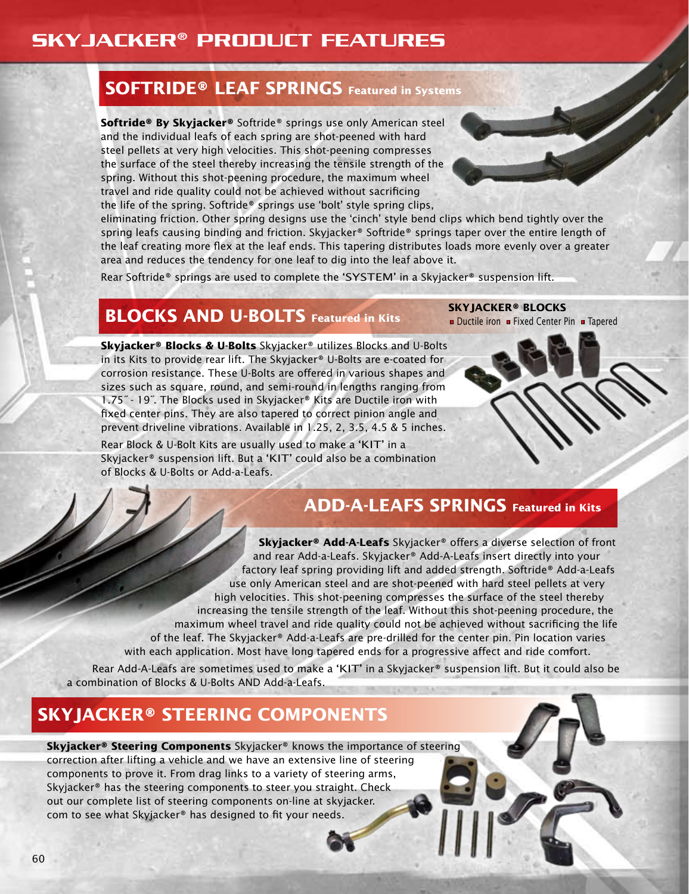### Skyjacker® Product Features

#### **SOFTRIDE® LEAF SPRINGS Featured in Systems**

**Softride® By Skyjacker®** Softride® springs use only American steel and the individual leafs of each spring are shot-peened with hard steel pellets at very high velocities. This shot-peening compresses the surface of the steel thereby increasing the tensile strength of the spring. Without this shot-peening procedure, the maximum wheel travel and ride quality could not be achieved without sacrificing the life of the spring. Softride® springs use 'bolt' style spring clips,

eliminating friction. Other spring designs use the 'cinch' style bend clips which bend tightly over the spring leafs causing binding and friction. Skyjacker® Softride® springs taper over the entire length of the leaf creating more flex at the leaf ends. This tapering distributes loads more evenly over a greater area and reduces the tendency for one leaf to dig into the leaf above it.

Rear Softride® springs are used to complete the 'SYSTEM' in a Skyjacker® suspension lift.

#### **BLOCKS AND U-BOLTS** Featured in Kits

**Skyjacker® Blocks & U-Bolts** Skyjacker® utilizes Blocks and U-Bolts in its Kits to provide rear lift. The Skyjacker® U-Bolts are e-coated for corrosion resistance. These U-Bolts are offered in various shapes and sizes such as square, round, and semi-round in lengths ranging from 1.75" - 19". The Blocks used in Skyjacker® Kits are Ductile iron with fixed center pins. They are also tapered to correct pinion angle and prevent driveline vibrations. Available in 1.25, 2, 3.5, 4.5 & 5 inches.

Rear Block & U-Bolt Kits are usually used to make a 'KIT' in a Skyjacker® suspension lift. But a 'KIT' could also be a combination of Blocks & U-Bolts or Add-a-Leafs.

#### **ADD-A-LEAFS SPRINGS Featured in Kits**

**SKYJACKER® BLOCKS**

• Ductile iron • Fixed Center Pin • Tapered

**Skyjacker® Add-A-Leafs** Skyjacker® offers a diverse selection of front and rear Add-a-Leafs. Skyjacker® Add-A-Leafs insert directly into your factory leaf spring providing lift and added strength. Softride® Add-a-Leafs use only American steel and are shot-peened with hard steel pellets at very high velocities. This shot-peening compresses the surface of the steel thereby increasing the tensile strength of the leaf. Without this shot-peening procedure, the maximum wheel travel and ride quality could not be achieved without sacrificing the life of the leaf. The Skyjacker® Add-a-Leafs are pre-drilled for the center pin. Pin location varies with each application. Most have long tapered ends for a progressive affect and ride comfort.

Rear Add-A-Leafs are sometimes used to make a 'KIT' in a Skyjacker® suspension lift. But it could also be a combination of Blocks & U-Bolts AND Add-a-Leafs.

#### **SKYJACKER® STEERING COMPONENTS**

**Skyjacker® Steering Components** Skyjacker® knows the importance of steering correction after lifting a vehicle and we have an extensive line of steering components to prove it. From drag links to a variety of steering arms, Skyjacker® has the steering components to steer you straight. Check out our complete list of steering components on-line at skyjacker. com to see what Skyjacker® has designed to fit your needs.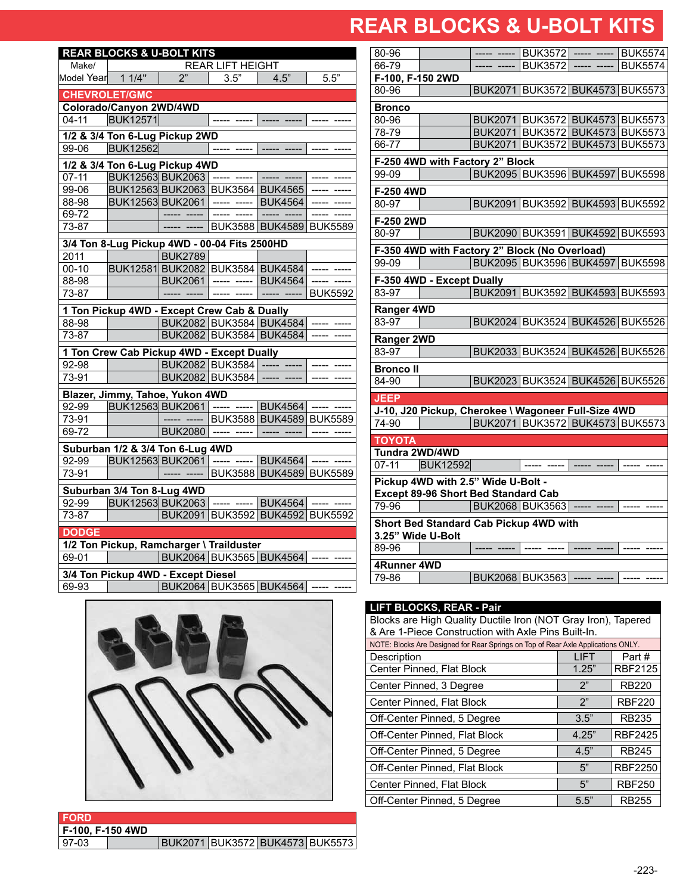### **REAR BLOCKS & U-BOLT KITS REAR BLOCKS & U-BOLT KITS**

| <b>REAR LIFT HEIGHT</b><br>Make/<br>2"<br>Model Year 11/4"<br>3.5"<br>4.5"<br>5.5"<br><b>CHEVROLET/GMC</b><br>Colorado/Canyon 2WD/4WD<br><b>BUK12571</b><br>$04 - 11$<br>1/2 & 3/4 Ton 6-Lug Pickup 2WD<br><b>BUK12562</b><br>99-06<br>1/2 & 3/4 Ton 6-Lug Pickup 4WD<br>BUK12563 BUK2063 ----- -----<br>$07 - 11$<br>BUK12563 BUK2063 BUK3564 BUK4565<br>99-06<br>88-98<br>BUK12563 BUK2061<br><b>BUK4564</b><br>----- -----<br>69-72<br>BUK3588 BUK4589 BUK5589<br>73-87<br>3/4 Ton 8-Lug Pickup 4WD - 00-04 Fits 2500HD<br><b>BUK2789</b><br>2011<br>$00 - 10$<br>BUK12581 BUK2082 BUK3584 BUK4584<br>$---$<br>$--- - -$<br>88-98<br><b>BUK2061</b><br><b>BUK4564</b><br><b>BUK5592</b><br>73-87<br>----- -----  <br>1 Ton Pickup 4WD - Except Crew Cab & Dually<br>BUK2082 BUK3584 BUK4584<br>88-98<br>BUK2082 BUK3584 BUK4584<br>73-87<br>1 Ton Crew Cab Pickup 4WD - Except Dually<br>BUK2082 BUK3584 -----<br>92-98 | <b>REAR BLOCKS &amp; U-BOLT KITS</b> |  |  |  |  |                |  |  |  |  |
|----------------------------------------------------------------------------------------------------------------------------------------------------------------------------------------------------------------------------------------------------------------------------------------------------------------------------------------------------------------------------------------------------------------------------------------------------------------------------------------------------------------------------------------------------------------------------------------------------------------------------------------------------------------------------------------------------------------------------------------------------------------------------------------------------------------------------------------------------------------------------------------------------------------------------|--------------------------------------|--|--|--|--|----------------|--|--|--|--|
|                                                                                                                                                                                                                                                                                                                                                                                                                                                                                                                                                                                                                                                                                                                                                                                                                                                                                                                            |                                      |  |  |  |  |                |  |  |  |  |
|                                                                                                                                                                                                                                                                                                                                                                                                                                                                                                                                                                                                                                                                                                                                                                                                                                                                                                                            |                                      |  |  |  |  |                |  |  |  |  |
|                                                                                                                                                                                                                                                                                                                                                                                                                                                                                                                                                                                                                                                                                                                                                                                                                                                                                                                            |                                      |  |  |  |  |                |  |  |  |  |
|                                                                                                                                                                                                                                                                                                                                                                                                                                                                                                                                                                                                                                                                                                                                                                                                                                                                                                                            |                                      |  |  |  |  |                |  |  |  |  |
|                                                                                                                                                                                                                                                                                                                                                                                                                                                                                                                                                                                                                                                                                                                                                                                                                                                                                                                            |                                      |  |  |  |  |                |  |  |  |  |
|                                                                                                                                                                                                                                                                                                                                                                                                                                                                                                                                                                                                                                                                                                                                                                                                                                                                                                                            |                                      |  |  |  |  |                |  |  |  |  |
|                                                                                                                                                                                                                                                                                                                                                                                                                                                                                                                                                                                                                                                                                                                                                                                                                                                                                                                            |                                      |  |  |  |  |                |  |  |  |  |
|                                                                                                                                                                                                                                                                                                                                                                                                                                                                                                                                                                                                                                                                                                                                                                                                                                                                                                                            |                                      |  |  |  |  |                |  |  |  |  |
|                                                                                                                                                                                                                                                                                                                                                                                                                                                                                                                                                                                                                                                                                                                                                                                                                                                                                                                            |                                      |  |  |  |  |                |  |  |  |  |
|                                                                                                                                                                                                                                                                                                                                                                                                                                                                                                                                                                                                                                                                                                                                                                                                                                                                                                                            |                                      |  |  |  |  |                |  |  |  |  |
|                                                                                                                                                                                                                                                                                                                                                                                                                                                                                                                                                                                                                                                                                                                                                                                                                                                                                                                            |                                      |  |  |  |  |                |  |  |  |  |
|                                                                                                                                                                                                                                                                                                                                                                                                                                                                                                                                                                                                                                                                                                                                                                                                                                                                                                                            |                                      |  |  |  |  |                |  |  |  |  |
|                                                                                                                                                                                                                                                                                                                                                                                                                                                                                                                                                                                                                                                                                                                                                                                                                                                                                                                            |                                      |  |  |  |  |                |  |  |  |  |
|                                                                                                                                                                                                                                                                                                                                                                                                                                                                                                                                                                                                                                                                                                                                                                                                                                                                                                                            |                                      |  |  |  |  |                |  |  |  |  |
|                                                                                                                                                                                                                                                                                                                                                                                                                                                                                                                                                                                                                                                                                                                                                                                                                                                                                                                            |                                      |  |  |  |  |                |  |  |  |  |
|                                                                                                                                                                                                                                                                                                                                                                                                                                                                                                                                                                                                                                                                                                                                                                                                                                                                                                                            |                                      |  |  |  |  |                |  |  |  |  |
|                                                                                                                                                                                                                                                                                                                                                                                                                                                                                                                                                                                                                                                                                                                                                                                                                                                                                                                            |                                      |  |  |  |  |                |  |  |  |  |
|                                                                                                                                                                                                                                                                                                                                                                                                                                                                                                                                                                                                                                                                                                                                                                                                                                                                                                                            |                                      |  |  |  |  |                |  |  |  |  |
|                                                                                                                                                                                                                                                                                                                                                                                                                                                                                                                                                                                                                                                                                                                                                                                                                                                                                                                            |                                      |  |  |  |  |                |  |  |  |  |
|                                                                                                                                                                                                                                                                                                                                                                                                                                                                                                                                                                                                                                                                                                                                                                                                                                                                                                                            |                                      |  |  |  |  |                |  |  |  |  |
|                                                                                                                                                                                                                                                                                                                                                                                                                                                                                                                                                                                                                                                                                                                                                                                                                                                                                                                            |                                      |  |  |  |  |                |  |  |  |  |
|                                                                                                                                                                                                                                                                                                                                                                                                                                                                                                                                                                                                                                                                                                                                                                                                                                                                                                                            |                                      |  |  |  |  |                |  |  |  |  |
|                                                                                                                                                                                                                                                                                                                                                                                                                                                                                                                                                                                                                                                                                                                                                                                                                                                                                                                            |                                      |  |  |  |  |                |  |  |  |  |
|                                                                                                                                                                                                                                                                                                                                                                                                                                                                                                                                                                                                                                                                                                                                                                                                                                                                                                                            |                                      |  |  |  |  |                |  |  |  |  |
| BUK2082 BUK3584 -----                                                                                                                                                                                                                                                                                                                                                                                                                                                                                                                                                                                                                                                                                                                                                                                                                                                                                                      | 73-91                                |  |  |  |  |                |  |  |  |  |
| Blazer, Jimmy, Tahoe, Yukon 4WD                                                                                                                                                                                                                                                                                                                                                                                                                                                                                                                                                                                                                                                                                                                                                                                                                                                                                            |                                      |  |  |  |  |                |  |  |  |  |
| 92-99<br>BUK12563 BUK2061<br><b>BUK4564</b><br>$-----$                                                                                                                                                                                                                                                                                                                                                                                                                                                                                                                                                                                                                                                                                                                                                                                                                                                                     |                                      |  |  |  |  |                |  |  |  |  |
| 73-91<br>BUK3588 BUK4589 BUK5589                                                                                                                                                                                                                                                                                                                                                                                                                                                                                                                                                                                                                                                                                                                                                                                                                                                                                           |                                      |  |  |  |  |                |  |  |  |  |
| 69-72<br><b>BUK2080</b><br>$\begin{array}{ccc} - & - & - & - & - \\ - & - & - & - \end{array}$                                                                                                                                                                                                                                                                                                                                                                                                                                                                                                                                                                                                                                                                                                                                                                                                                             |                                      |  |  |  |  |                |  |  |  |  |
| Suburban 1/2 & 3/4 Ton 6-Lug 4WD                                                                                                                                                                                                                                                                                                                                                                                                                                                                                                                                                                                                                                                                                                                                                                                                                                                                                           |                                      |  |  |  |  |                |  |  |  |  |
| 92-99<br>BUK12563 BUK2061 -----<br><b>BUK4564</b>                                                                                                                                                                                                                                                                                                                                                                                                                                                                                                                                                                                                                                                                                                                                                                                                                                                                          |                                      |  |  |  |  |                |  |  |  |  |
| 73-91<br>BUK3588 BUK4589 BUK5589                                                                                                                                                                                                                                                                                                                                                                                                                                                                                                                                                                                                                                                                                                                                                                                                                                                                                           |                                      |  |  |  |  |                |  |  |  |  |
|                                                                                                                                                                                                                                                                                                                                                                                                                                                                                                                                                                                                                                                                                                                                                                                                                                                                                                                            |                                      |  |  |  |  |                |  |  |  |  |
| Suburban 3/4 Ton 8-Lug 4WD<br>----- -----                                                                                                                                                                                                                                                                                                                                                                                                                                                                                                                                                                                                                                                                                                                                                                                                                                                                                  |                                      |  |  |  |  |                |  |  |  |  |
| 92-99<br>BUK12563 BUK2063<br><b>BUK4564</b><br>$---$                                                                                                                                                                                                                                                                                                                                                                                                                                                                                                                                                                                                                                                                                                                                                                                                                                                                       |                                      |  |  |  |  |                |  |  |  |  |
| BUK2091 BUK3592 BUK4592<br>73-87                                                                                                                                                                                                                                                                                                                                                                                                                                                                                                                                                                                                                                                                                                                                                                                                                                                                                           |                                      |  |  |  |  | <b>BUK5592</b> |  |  |  |  |
| <b>DODGE</b>                                                                                                                                                                                                                                                                                                                                                                                                                                                                                                                                                                                                                                                                                                                                                                                                                                                                                                               |                                      |  |  |  |  |                |  |  |  |  |
| 1/2 Ton Pickup, Ramcharger \ Trailduster                                                                                                                                                                                                                                                                                                                                                                                                                                                                                                                                                                                                                                                                                                                                                                                                                                                                                   |                                      |  |  |  |  |                |  |  |  |  |
| BUK2064 BUK3565 BUK4564<br>69-01                                                                                                                                                                                                                                                                                                                                                                                                                                                                                                                                                                                                                                                                                                                                                                                                                                                                                           |                                      |  |  |  |  |                |  |  |  |  |
| 3/4 Ton Pickup 4WD - Except Diesel                                                                                                                                                                                                                                                                                                                                                                                                                                                                                                                                                                                                                                                                                                                                                                                                                                                                                         |                                      |  |  |  |  |                |  |  |  |  |
| BUK2064 BUK3565 BUK4564<br>69-93                                                                                                                                                                                                                                                                                                                                                                                                                                                                                                                                                                                                                                                                                                                                                                                                                                                                                           |                                      |  |  |  |  |                |  |  |  |  |



|       | י וכובו |                  |
|-------|---------|------------------|
|       |         | F-100, F-150 4WD |
| 97-03 |         |                  |

**BUK2071 BUK3572 BUK4573 BUK5573** 

| 80-96                                                                     |                                                     |  | BUK3572 ----- -----             |  | <b>BUK5574</b> |  |  |  |
|---------------------------------------------------------------------------|-----------------------------------------------------|--|---------------------------------|--|----------------|--|--|--|
| 66-79                                                                     |                                                     |  | <b>BUK3572</b>                  |  | <b>BUK5574</b> |  |  |  |
| F-100, F-150 2WD                                                          |                                                     |  |                                 |  |                |  |  |  |
| 80-96                                                                     |                                                     |  | BUK2071 BUK3572 BUK4573 BUK5573 |  |                |  |  |  |
| <b>Bronco</b>                                                             |                                                     |  |                                 |  |                |  |  |  |
| 80-96                                                                     |                                                     |  | BUK2071 BUK3572 BUK4573 BUK5573 |  |                |  |  |  |
| 78-79                                                                     |                                                     |  | BUK2071 BUK3572 BUK4573 BUK5573 |  |                |  |  |  |
| 66-77                                                                     |                                                     |  | BUK2071 BUK3572 BUK4573 BUK5573 |  |                |  |  |  |
| F-250 4WD with Factory 2" Block                                           |                                                     |  |                                 |  |                |  |  |  |
| 99-09                                                                     |                                                     |  | BUK2095 BUK3596 BUK4597 BUK5598 |  |                |  |  |  |
| F-250 4WD                                                                 |                                                     |  |                                 |  |                |  |  |  |
| 80-97                                                                     |                                                     |  | BUK2091 BUK3592 BUK4593 BUK5592 |  |                |  |  |  |
| F-250 2WD                                                                 |                                                     |  |                                 |  |                |  |  |  |
| 80-97                                                                     |                                                     |  | BUK2090 BUK3591 BUK4592 BUK5593 |  |                |  |  |  |
|                                                                           | F-350 4WD with Factory 2" Block (No Overload)       |  |                                 |  |                |  |  |  |
| 99-09                                                                     |                                                     |  | BUK2095 BUK3596 BUK4597 BUK5598 |  |                |  |  |  |
|                                                                           | F-350 4WD - Except Dually                           |  |                                 |  |                |  |  |  |
| 83-97                                                                     |                                                     |  | BUK2091 BUK3592 BUK4593 BUK5593 |  |                |  |  |  |
| Ranger 4WD                                                                |                                                     |  |                                 |  |                |  |  |  |
| 83-97                                                                     |                                                     |  | BUK2024 BUK3524 BUK4526 BUK5526 |  |                |  |  |  |
| Ranger 2WD                                                                |                                                     |  |                                 |  |                |  |  |  |
| 83-97                                                                     |                                                     |  | BUK2033 BUK3524 BUK4526 BUK5526 |  |                |  |  |  |
| <b>Bronco</b> II                                                          |                                                     |  |                                 |  |                |  |  |  |
| 84-90                                                                     |                                                     |  | BUK2023 BUK3524 BUK4526 BUK5526 |  |                |  |  |  |
| <b>JEEP</b>                                                               |                                                     |  |                                 |  |                |  |  |  |
|                                                                           | J-10, J20 Pickup, Cherokee \ Wagoneer Full-Size 4WD |  |                                 |  |                |  |  |  |
| 74-90                                                                     |                                                     |  | BUK2071 BUK3572 BUK4573 BUK5573 |  |                |  |  |  |
| <b>TOYOTA</b>                                                             |                                                     |  |                                 |  |                |  |  |  |
| Tundra 2WD/4WD                                                            |                                                     |  |                                 |  |                |  |  |  |
| $07-11$                                                                   | <b>BUK12592</b>                                     |  |                                 |  |                |  |  |  |
| Pickup 4WD with 2.5" Wide U-Bolt -<br>Except 89-96 Short Bed Standard Cab |                                                     |  |                                 |  |                |  |  |  |
| $79 - 96$                                                                 |                                                     |  | BUK2068 BUK3563                 |  |                |  |  |  |
| Short Bed Standard Cab Pickup 4WD with                                    |                                                     |  |                                 |  |                |  |  |  |
| 3.25" Wide U-Bolt                                                         |                                                     |  |                                 |  |                |  |  |  |
| 89-96                                                                     |                                                     |  |                                 |  |                |  |  |  |
| 4Runner 4WD                                                               |                                                     |  |                                 |  |                |  |  |  |
| 79-86                                                                     |                                                     |  | BUK2068 BUK3563 -----           |  |                |  |  |  |

#### **LIFT BLOCKS, REAR - Pair**  Blocks are High Quality Ductile Iron (NOT Gray Iron), Tapered & Are 1-Piece Construction with Axle Pins Built-In. NOTE: Blocks Are Designed for Rear Springs on Top of Rear Axle Applications ONLY. Description LIFT Part #<br>
Center Pinned, Flat Block 1.25" RBF2125 Center Pinned, Flat Block Center Pinned, 3 Degree 2" RB220 Center Pinned, Flat Block 2" | RBF220 Off-Center Pinned, 5 Degree 13.5" RB235 Off-Center Pinned, Flat Block 4.25" RBF2425 Off-Center Pinned, 5 Degree | 4.5" | RB245 Off-Center Pinned, Flat Block 5" | RBF2250 Center Pinned, Flat Block | 5" | RBF250 Off-Center Pinned, 5 Degree 15.5" RB255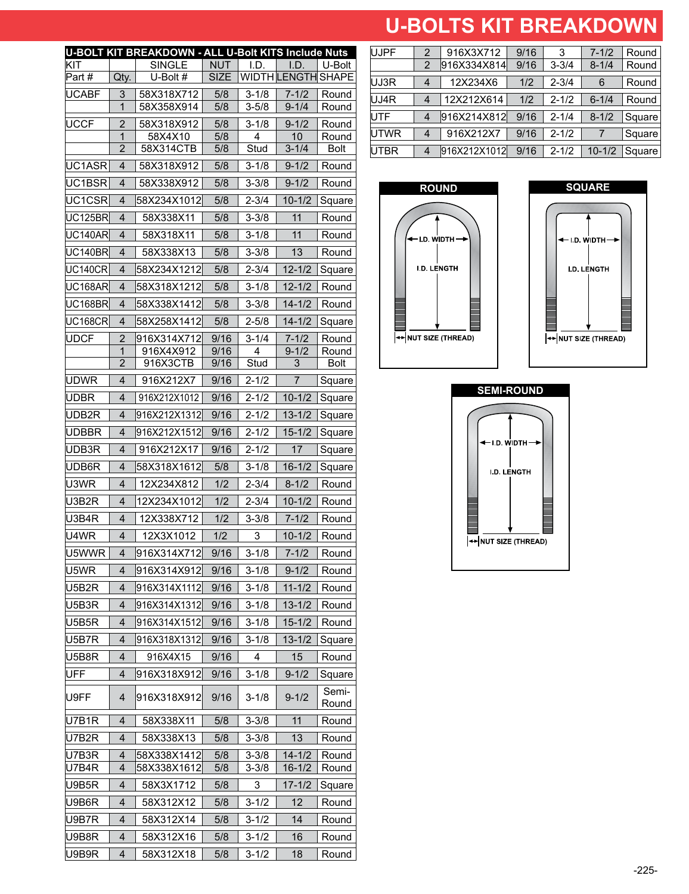# **U-BOLTS KIT BREAKDOWN U-BOLTS KIT BREAKDOWN**

|                |                | <b>U-BOLT KIT BREAKDOWN - ALL U-Bolt KITS Include Nuts</b> |                           |                        |                        |                        |
|----------------|----------------|------------------------------------------------------------|---------------------------|------------------------|------------------------|------------------------|
| KIT<br>Part#   |                | <b>SINGLE</b><br>U-Bolt #                                  | <b>NUT</b><br><b>SIZE</b> | I.D.                   | I.D.<br>WIDTH LENGTH   | U-Bolt<br><b>SHAPE</b> |
|                | Qty.           |                                                            |                           |                        |                        |                        |
| <b>UCABF</b>   | 3<br>1         | 58X318X712<br>58X358X914                                   | 5/8<br>5/8                | $3 - 1/8$<br>$3 - 5/8$ | $7 - 1/2$<br>$9 - 1/4$ | Round<br>Round         |
| UCCF           | 2              | 58X318X912                                                 | 5/8                       | $3 - 1/8$              | $9 - 1/2$              | Round                  |
|                | $\overline{1}$ | 58X4X10                                                    | 5/8                       | 4                      | 10                     | Round                  |
|                | $\overline{2}$ | 58X314CTB                                                  | 5/8                       | Stud                   | $3 - 1/4$              | <b>Bolt</b>            |
| UC1ASR         | 4              | 58X318X912                                                 | 5/8                       | $3 - 1/8$              | $9 - 1/2$              | Round                  |
| UC1BSR         | 4              | 58X338X912                                                 | 5/8                       | $3 - 3/8$              | $9 - 1/2$              | Round                  |
| UC1CSRI        | 4              | 58X234X1012                                                | 5/8                       | $2 - 3/4$              | $10 - 1/2$             | Square                 |
| UC125BR        | $\overline{4}$ | 58X338X11                                                  | 5/8                       | $3 - 3/8$              | 11                     | Round                  |
| UC140ARI       | 4              | 58X318X11                                                  | 5/8                       | $3 - 1/8$              | 11                     | Round                  |
| UC140BR        | 4              | 58X338X13                                                  | 5/8                       | $3 - 3/8$              | 13                     | Round                  |
| UC140CRI       | 4              | 58X234X1212                                                | 5/8                       | $2 - 3/4$              | $12 - 1/2$             | Square                 |
| UC168AR        | 4              | 58X318X1212                                                | 5/8                       | $3 - 1/8$              | $12 - 1/2$             | Round                  |
| <b>UC168BR</b> | 4              | 58X338X1412                                                | 5/8                       | $3 - 3/8$              | $14 - 1/2$             | Round                  |
| <b>UC168CR</b> | $\overline{4}$ | 58X258X1412                                                | 5/8                       | $2 - 5/8$              | $14 - 1/2$             | Square                 |
| <b>UDCF</b>    | 2              | 916X314X712                                                | 9/16                      | $3 - 1/4$              | $7 - 1/2$              | Round                  |
|                | 1              | 916X4X912                                                  | 9/16                      | 4                      | $9 - 1/2$              | Round                  |
|                | 2              | 916X3CTB                                                   | 9/16                      | Stud                   | 3                      | <b>Bolt</b>            |
| udwr           | 4              | 916X212X7                                                  | 9/16                      | $2 - 1/2$              | 7                      | Square                 |
| UDBR           | 4              | 916X212X1012                                               | 9/16                      | $2 - 1/2$              | $10 - 1/2$             | Square                 |
| UDB2R          | 4              | 916X212X1312                                               | 9/16                      | 2-1/2                  | 13-1/2                 | Square                 |
| UDBBR          | 4              | 916X212X1512                                               | 9/16                      | $2 - 1/2$              | $15 - 1/2$             | Square                 |
| UDB3R          | 4              | 916X212X17                                                 | 9/16                      | 2-1/2                  | 17                     | Square                 |
| UDB6R          | 4              | 58X318X1612                                                | 5/8                       | $3 - 1/8$              | $16 - 1/2$             | Square                 |
| U3WR           | 4              | 12X234X812                                                 | 1/2                       | $2 - 3/4$              | $8 - 1/2$              | Round                  |
| U3B2R          | 4              | 12X234X1012                                                | 1/2                       | $2 - 3/4$              | $10 - 1/2$             | Round                  |
| U3B4R          | 4              | 12X338X712                                                 | 1/2                       | $3 - 3/8$              | $7 - 1/2$              | Round                  |
| U4WR           | 4              | 12X3X1012                                                  | 1/2                       | 3                      | $10 - 1/2$             | Round                  |
| U5WWR I        | 4              | l916X314X712l                                              | 9/16                      | 3-1/8                  | $7 - 1/2$              | Round                  |
| U5WR           | 4              | 916X314X912                                                | 9/16                      | $3 - 1/8$              | $9 - 1/2$              | Round                  |
| U5B2R          | $\overline{4}$ | l916X314X1112l                                             | 9/16                      | $3 - 1/8$              | $11 - 1/2$             | Round                  |
| U5B3R          | 4              | 916X314X1312                                               | 9/16                      | $3 - 1/8$              | $13 - 1/2$             | Round                  |
| U5B5R          | 4              | 916X314X1512                                               | 9/16                      | $3 - 1/8$              | $15 - 1/2$             | Round                  |
| U5B7R          | 4              | 916X318X1312                                               | 9/16                      | $3 - 1/8$              | $13 - 1/2$             | Square                 |
| U5B8R          | 4              | 916X4X15                                                   | 9/16                      | 4                      | 15                     | Round                  |
| UFF            | $\overline{4}$ | 916X318X912                                                | 9/16                      | $3 - 1/8$              | $9 - 1/2$              | Square                 |
| IU9FF          | 4              | 916X318X912l                                               | 9/16                      | $3 - 1/8$              | $9 - 1/2$              | Semi-<br>Round         |
| U7B1R          | $\overline{4}$ | 58X338X11                                                  | 5/8                       | $3 - 3/8$              | 11                     | Round                  |
| U7B2R          | 4              | 58X338X13                                                  | 5/8                       | $3 - 3/8$              | 13                     | Round                  |
| U7B3R          | 4              | 58X338X1412                                                | 5/8                       | $3 - 3/8$              | $14 - 1/2$             | Round                  |
| U7B4R          | 4              | 58X338X1612                                                | 5/8                       | $3 - 3/8$              | $16 - 1/2$             | Round                  |
| U9B5R          | 4              | 58X3X1712                                                  | 5/8                       | 3                      | $17 - 1/2$             | Square                 |
| U9B6R          | 4              | 58X312X12                                                  | 5/8                       | $3 - 1/2$              | 12                     | Round                  |
| U9B7R          | 4              | 58X312X14                                                  | 5/8                       | 3-1/2                  | 14                     | Round                  |
| U9B8R          | 4              | 58X312X16                                                  | 5/8                       | $3 - 1/2$              | 16                     | Round                  |
| U9B9R          | 4              | 58X312X18                                                  | 5/8                       | $3 - 1/2$              | 18                     | Round                  |

| <b>UJPF</b> | 2 | 916X3X712    | 9/16 | 3         | $7 - 1/2$  | Round  |
|-------------|---|--------------|------|-----------|------------|--------|
|             | 2 | 916X334X814  | 9/16 | $3 - 3/4$ | $8 - 1/4$  | Round  |
| UJ3R        | 4 | 12X234X6     | 1/2  | $2 - 3/4$ | 6          | Round  |
| UJ4R        | 4 | 12X212X614   | 1/2  | $2 - 1/2$ | $6 - 1/4$  | Round  |
| <b>UTF</b>  |   | 916X214X812  | 9/16 | $2 - 1/4$ | $8 - 1/2$  | Square |
| UTWR        |   | 916X212X7    | 9/16 | $2 - 1/2$ |            | Square |
| <b>UTBR</b> |   | 916X212X1012 | 9/16 | $2 - 1/2$ | $10 - 1/2$ | Square |